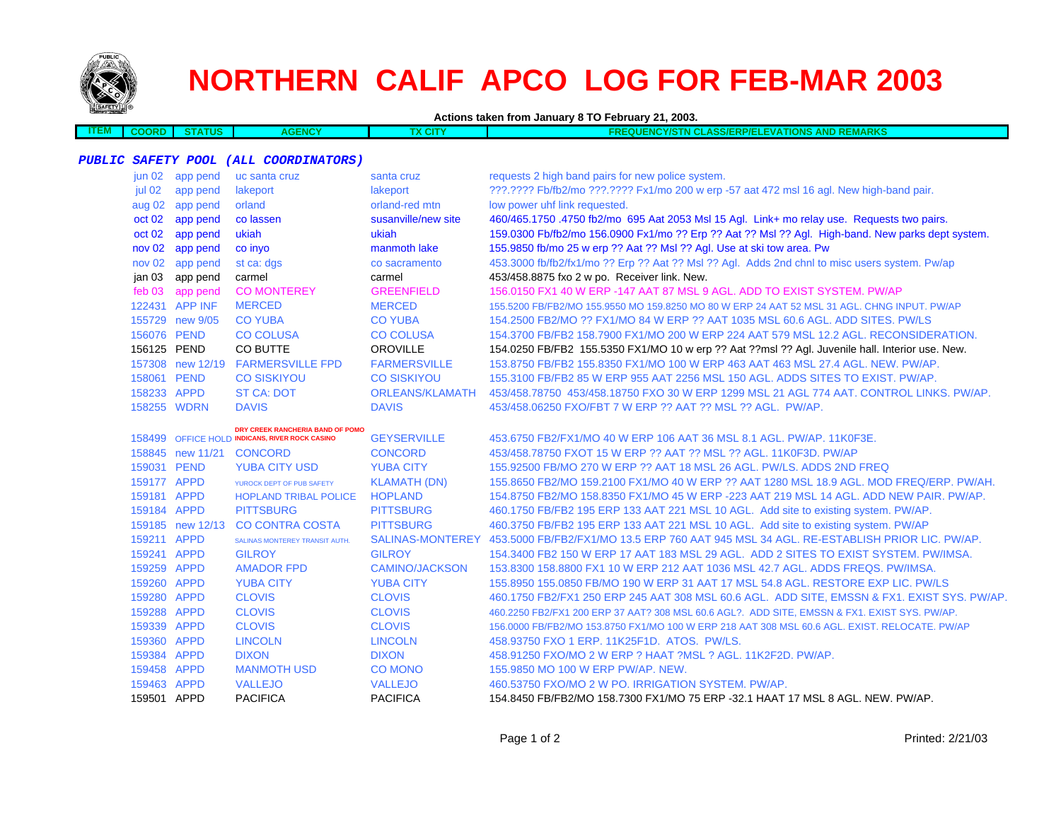

# **NORTHERN CALIF APCO LOG FOR FEB-MAR 2003**

| <b>Contract Contract Contract Contract Contract Contract Contract Contract Contract Contract Contract Contract Co</b> | <b>7116</b><br>wa | <b>AIOV</b><br>age<br>nu | . | <b>COLLE</b><br><b>AND REMARKS</b><br>1 - 7 / 2<br>.<br>.<br>.<br>.<br>.<br>. <i>.</i> |
|-----------------------------------------------------------------------------------------------------------------------|-------------------|--------------------------|---|----------------------------------------------------------------------------------------|
|                                                                                                                       |                   |                          |   |                                                                                        |

#### **PUBLIC SAFETY POOL (ALL COORDINATORS)**

| jun 02            | app pend         | uc santa cruz                                  | santa cruz            | requests 2 high band pairs for new police system.                                                 |
|-------------------|------------------|------------------------------------------------|-----------------------|---------------------------------------------------------------------------------------------------|
| jul 02            | app pend         | lakeport                                       | lakeport              | ???.???? Fb/fb2/mo ???.???? Fx1/mo 200 w erp -57 aat 472 msl 16 agl. New high-band pair.          |
| aug 02            | app pend         | orland                                         | orland-red mtn        | low power uhf link requested.                                                                     |
| oct 02            | app pend         | co lassen                                      | susanville/new site   | 460/465.1750.4750 fb2/mo 695 Aat 2053 Msl 15 Agl. Link+ mo relay use. Requests two pairs.         |
| oct 02            | app pend         | ukiah                                          | ukiah                 | 159.0300 Fb/fb2/mo 156.0900 Fx1/mo ?? Erp ?? Aat ?? Msl ?? Agl. High-band. New parks dept system. |
| nov <sub>02</sub> | app pend         | co inyo                                        | manmoth lake          | 155.9850 fb/mo 25 w erp ?? Aat ?? Msl ?? Agl. Use at ski tow area. Pw                             |
| nov <sub>02</sub> | app pend         | st ca: dgs                                     | co sacramento         | 453.3000 fb/fb2/fx1/mo ?? Erp ?? Aat ?? Msl ?? Agl. Adds 2nd chnl to misc users system. Pw/ap     |
| jan 03            | app pend         | carmel                                         | carmel                | 453/458.8875 fxo 2 w po. Receiver link. New.                                                      |
| feb 03            | app pend         | <b>CO MONTEREY</b>                             | <b>GREENFIELD</b>     | 156,0150 FX1 40 W ERP -147 AAT 87 MSL 9 AGL, ADD TO EXIST SYSTEM, PW/AP                           |
|                   | 122431 APP INF   | <b>MERCED</b>                                  | <b>MERCED</b>         | 155,5200 FB/FB2/MO 155,9550 MO 159,8250 MO 80 W ERP 24 AAT 52 MSL 31 AGL, CHNG INPUT, PW/AP       |
|                   | 155729 new 9/05  | <b>CO YUBA</b>                                 | <b>CO YUBA</b>        | 154.2500 FB2/MO ?? FX1/MO 84 W ERP ?? AAT 1035 MSL 60.6 AGL. ADD SITES. PW/LS                     |
|                   | 156076 PEND      | <b>CO COLUSA</b>                               | <b>CO COLUSA</b>      | 154.3700 FB/FB2 158.7900 FX1/MO 200 W ERP 224 AAT 579 MSL 12.2 AGL. RECONSIDERATION.              |
|                   | 156125 PEND      | CO BUTTE                                       | <b>OROVILLE</b>       | 154.0250 FB/FB2 155.5350 FX1/MO 10 w erp ?? Aat ??msl ?? Agl. Juvenile hall. Interior use. New.   |
|                   |                  | 157308 new 12/19 FARMERSVILLE FPD              | <b>FARMERSVILLE</b>   | 153.8750 FB/FB2 155.8350 FX1/MO 100 W ERP 463 AAT 463 MSL 27.4 AGL. NEW. PW/AP.                   |
|                   | 158061 PEND      | <b>CO SISKIYOU</b>                             | <b>CO SISKIYOU</b>    | 155,3100 FB/FB2 85 W ERP 955 AAT 2256 MSL 150 AGL, ADDS SITES TO EXIST, PW/AP.                    |
|                   | 158233 APPD      | <b>ST CA: DOT</b>                              | ORLEANS/KLAMATH       | 453/458,78750 453/458,18750 FXO 30 W ERP 1299 MSL 21 AGL 774 AAT, CONTROL LINKS, PW/AP,           |
|                   | 158255 WDRN      | <b>DAVIS</b>                                   | <b>DAVIS</b>          | 453/458.06250 FXO/FBT 7 W ERP ?? AAT ?? MSL ?? AGL. PW/AP.                                        |
|                   |                  | DRY CREEK RANCHERIA BAND OF POMO               |                       |                                                                                                   |
|                   |                  | 158499 OFFICE HOLD INDICANS, RIVER ROCK CASINO | <b>GEYSERVILLE</b>    | 453.6750 FB2/FX1/MO 40 W ERP 106 AAT 36 MSL 8.1 AGL, PW/AP, 11K0F3E.                              |
|                   |                  | 158845 new 11/21 CONCORD                       | <b>CONCORD</b>        | 453/458.78750 FXOT 15 W ERP ?? AAT ?? MSL ?? AGL, 11K0F3D, PW/AP                                  |
|                   | 159031 PEND      | <b>YUBA CITY USD</b>                           | <b>YUBA CITY</b>      | 155,92500 FB/MO 270 W ERP ?? AAT 18 MSL 26 AGL, PW/LS, ADDS 2ND FREQ                              |
|                   | 159177 APPD      | YUROCK DEPT OF PUB SAFETY                      | <b>KLAMATH (DN)</b>   | 155.8650 FB2/MO 159.2100 FX1/MO 40 W ERP ?? AAT 1280 MSL 18.9 AGL, MOD FREQ/ERP, PW/AH.           |
|                   | 159181 APPD      | <b>HOPLAND TRIBAL POLICE</b>                   | <b>HOPLAND</b>        | 154.8750 FB2/MO 158.8350 FX1/MO 45 W ERP -223 AAT 219 MSL 14 AGL, ADD NEW PAIR, PW/AP,            |
| 159184 APPD       |                  | <b>PITTSBURG</b>                               | <b>PITTSBURG</b>      | 460.1750 FB/FB2 195 ERP 133 AAT 221 MSL 10 AGL. Add site to existing system. PW/AP.               |
|                   | 159185 new 12/13 | <b>CO CONTRA COSTA</b>                         | <b>PITTSBURG</b>      | 460.3750 FB/FB2 195 ERP 133 AAT 221 MSL 10 AGL. Add site to existing system. PW/AP                |
|                   | 159211 APPD      | SALINAS MONTEREY TRANSIT AUTH.                 | SALINAS-MONTEREY      | 453,5000 FB/FB2/FX1/MO 13.5 ERP 760 AAT 945 MSL 34 AGL, RE-ESTABLISH PRIOR LIC, PW/AP.            |
|                   | 159241 APPD      | <b>GILROY</b>                                  | <b>GILROY</b>         | 154.3400 FB2 150 W ERP 17 AAT 183 MSL 29 AGL. ADD 2 SITES TO EXIST SYSTEM. PW/IMSA.               |
|                   | 159259 APPD      | <b>AMADOR FPD</b>                              | <b>CAMINO/JACKSON</b> | 153,8300 158,8800 FX1 10 W ERP 212 AAT 1036 MSL 42.7 AGL, ADDS FREQS, PW/IMSA.                    |
|                   | 159260 APPD      | <b>YUBA CITY</b>                               | <b>YUBA CITY</b>      | 155,8950 155,0850 FB/MO 190 W ERP 31 AAT 17 MSL 54.8 AGL, RESTORE EXP LIC, PW/LS                  |
|                   | 159280 APPD      | <b>CLOVIS</b>                                  | <b>CLOVIS</b>         | 460.1750 FB2/FX1 250 ERP 245 AAT 308 MSL 60.6 AGL. ADD SITE, EMSSN & FX1. EXIST SYS. PW/AP.       |
|                   | 159288 APPD      | <b>CLOVIS</b>                                  | <b>CLOVIS</b>         | 460.2250 FB2/FX1 200 ERP 37 AAT? 308 MSL 60.6 AGL?. ADD SITE, EMSSN & FX1. EXIST SYS. PW/AP.      |
|                   | 159339 APPD      | <b>CLOVIS</b>                                  | <b>CLOVIS</b>         | 156.0000 FB/FB2/MO 153.8750 FX1/MO 100 W ERP 218 AAT 308 MSL 60.6 AGL. EXIST. RELOCATE. PW/AP     |
|                   | 159360 APPD      | <b>LINCOLN</b>                                 | <b>LINCOLN</b>        | 458.93750 FXO 1 ERP. 11K25F1D. ATOS. PW/LS.                                                       |
|                   | 159384 APPD      | <b>DIXON</b>                                   | <b>DIXON</b>          | 458.91250 FXO/MO 2 W ERP ? HAAT ?MSL ? AGL, 11K2F2D, PW/AP.                                       |
|                   | 159458 APPD      | <b>MANMOTH USD</b>                             | <b>CO MONO</b>        | 155,9850 MO 100 W ERP PW/AP, NEW.                                                                 |
|                   | 159463 APPD      | <b>VALLEJO</b>                                 | <b>VALLEJO</b>        | 460,53750 FXO/MO 2 W PO. IRRIGATION SYSTEM, PW/AP.                                                |
| 159501 APPD       |                  | <b>PACIFICA</b>                                | <b>PACIFICA</b>       | 154.8450 FB/FB2/MO 158.7300 FX1/MO 75 ERP -32.1 HAAT 17 MSL 8 AGL. NEW. PW/AP.                    |